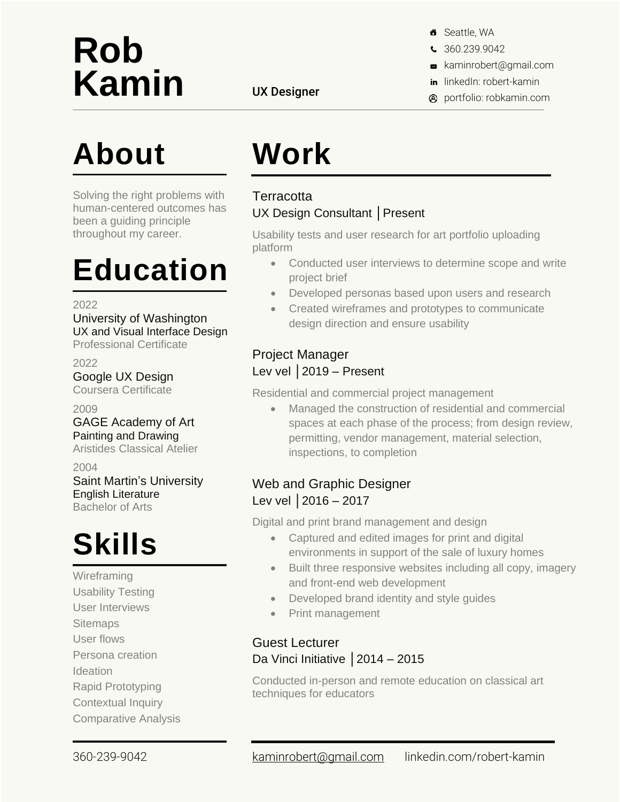# **Rob** Kamin UX Designer

### **About**

Solving the right problems with human-centered outcomes has been a guiding principle throughout my career.

### **Education**

2022

University of Washington UX and Visual Interface Design Professional Certificate

2022 Google UX Design Coursera Certificate

2009 GAGE Academy of Art Painting and Drawing

Aristides Classical Atelier

2004

Saint Martin's University English Literature Bachelor of Arts

## **Skills**

**Wireframing** Usability Testing User Interviews **Sitemaps** User flows Persona creation **Ideation** 

Rapid Prototyping

Contextual Inquiry Comparative Analysis

- 8 Seattle, WA
- S 360.239.9042
- kaminrobert@gmail.com
- in linkedIn: robert-kamin
- **A** portfolio: robkamin.com

### **Work Terracotta**

### UX Design Consultant │Present

Usability tests and user research for art portfolio uploading platform

- Conducted user interviews to determine scope and write project brief
- Developed personas based upon users and research
- Created wireframes and prototypes to communicate design direction and ensure usability

#### Project Manager Lev vel │2019 – Present

Residential and commercial project management

• Managed the construction of residential and commercial spaces at each phase of the process; from design review, permitting, vendor management, material selection, inspections, to completion

#### Web and Graphic Designer Lev vel | 2016 – 2017

Digital and print brand management and design

- Captured and edited images for print and digital environments in support of the sale of luxury homes
- Built three responsive websites including all copy, imagery and front-end web development
- Developed brand identity and style guides
- Print management

#### Guest Lecturer Da Vinci Initiative | 2014 – 2015

Conducted in-person and remote education on classical art techniques for educators